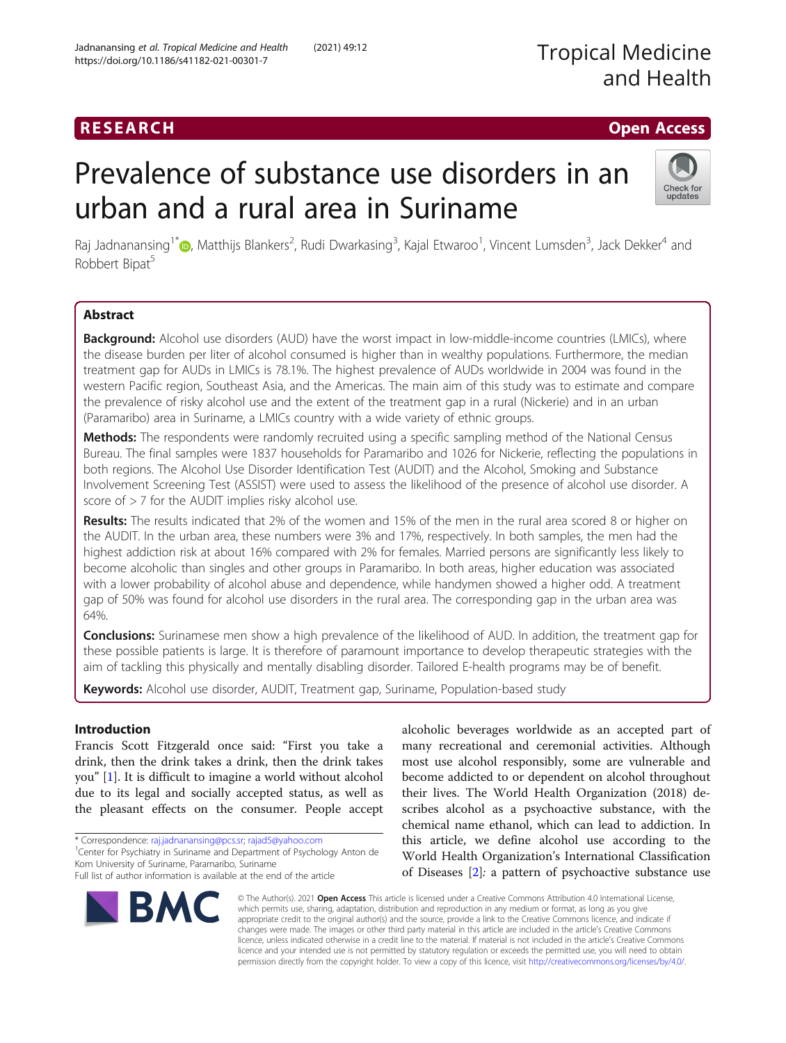# RESEARCH **RESEARCH CHOOSE ACCESS**

# Prevalence of substance use disorders in an urban and a rural area in Suriname



Raj Jadnanansing<sup>1\*</sup>®[,](http://orcid.org/0000-0002-2137-3653) Matthijs Blankers<sup>2</sup>, Rudi Dwarkasing<sup>3</sup>, Kajal Etwaroo<sup>1</sup>, Vincent Lumsden<sup>3</sup>, Jack Dekker<sup>4</sup> and Robbert Bipat<sup>5</sup>

# Abstract

**Background:** Alcohol use disorders (AUD) have the worst impact in low-middle-income countries (LMICs), where the disease burden per liter of alcohol consumed is higher than in wealthy populations. Furthermore, the median treatment gap for AUDs in LMICs is 78.1%. The highest prevalence of AUDs worldwide in 2004 was found in the western Pacific region, Southeast Asia, and the Americas. The main aim of this study was to estimate and compare the prevalence of risky alcohol use and the extent of the treatment gap in a rural (Nickerie) and in an urban (Paramaribo) area in Suriname, a LMICs country with a wide variety of ethnic groups.

Methods: The respondents were randomly recruited using a specific sampling method of the National Census Bureau. The final samples were 1837 households for Paramaribo and 1026 for Nickerie, reflecting the populations in both regions. The Alcohol Use Disorder Identification Test (AUDIT) and the Alcohol, Smoking and Substance Involvement Screening Test (ASSIST) were used to assess the likelihood of the presence of alcohol use disorder. A score of  $>$  7 for the AUDIT implies risky alcohol use.

Results: The results indicated that 2% of the women and 15% of the men in the rural area scored 8 or higher on the AUDIT. In the urban area, these numbers were 3% and 17%, respectively. In both samples, the men had the highest addiction risk at about 16% compared with 2% for females. Married persons are significantly less likely to become alcoholic than singles and other groups in Paramaribo. In both areas, higher education was associated with a lower probability of alcohol abuse and dependence, while handymen showed a higher odd. A treatment gap of 50% was found for alcohol use disorders in the rural area. The corresponding gap in the urban area was 64%.

**Conclusions:** Surinamese men show a high prevalence of the likelihood of AUD. In addition, the treatment gap for these possible patients is large. It is therefore of paramount importance to develop therapeutic strategies with the aim of tackling this physically and mentally disabling disorder. Tailored E-health programs may be of benefit.

Keywords: Alcohol use disorder, AUDIT, Treatment gap, Suriname, Population-based study

# Introduction

Francis Scott Fitzgerald once said: "First you take a drink, then the drink takes a drink, then the drink takes you" [\[1](#page-8-0)]. It is difficult to imagine a world without alcohol due to its legal and socially accepted status, as well as the pleasant effects on the consumer. People accept

\* Correspondence: [raj.jadnanansing@pcs.sr;](mailto:raj.jadnanansing@pcs.sr) [rajad5@yahoo.com](mailto:rajad5@yahoo.com) <sup>1</sup>

<sup>1</sup> Center for Psychiatry in Suriname and Department of Psychology Anton de Kom University of Suriname, Paramaribo, Suriname

Full list of author information is available at the end of the article

alcoholic beverages worldwide as an accepted part of many recreational and ceremonial activities. Although most use alcohol responsibly, some are vulnerable and become addicted to or dependent on alcohol throughout their lives. The World Health Organization (2018) describes alcohol as a psychoactive substance, with the chemical name ethanol, which can lead to addiction. In this article, we define alcohol use according to the World Health Organization's International Classification of Diseases [[2\]](#page-8-0): a pattern of psychoactive substance use



© The Author(s). 2021 Open Access This article is licensed under a Creative Commons Attribution 4.0 International License, which permits use, sharing, adaptation, distribution and reproduction in any medium or format, as long as you give appropriate credit to the original author(s) and the source, provide a link to the Creative Commons licence, and indicate if changes were made. The images or other third party material in this article are included in the article's Creative Commons licence, unless indicated otherwise in a credit line to the material. If material is not included in the article's Creative Commons licence and your intended use is not permitted by statutory regulation or exceeds the permitted use, you will need to obtain permission directly from the copyright holder. To view a copy of this licence, visit [http://creativecommons.org/licenses/by/4.0/.](http://creativecommons.org/licenses/by/4.0/)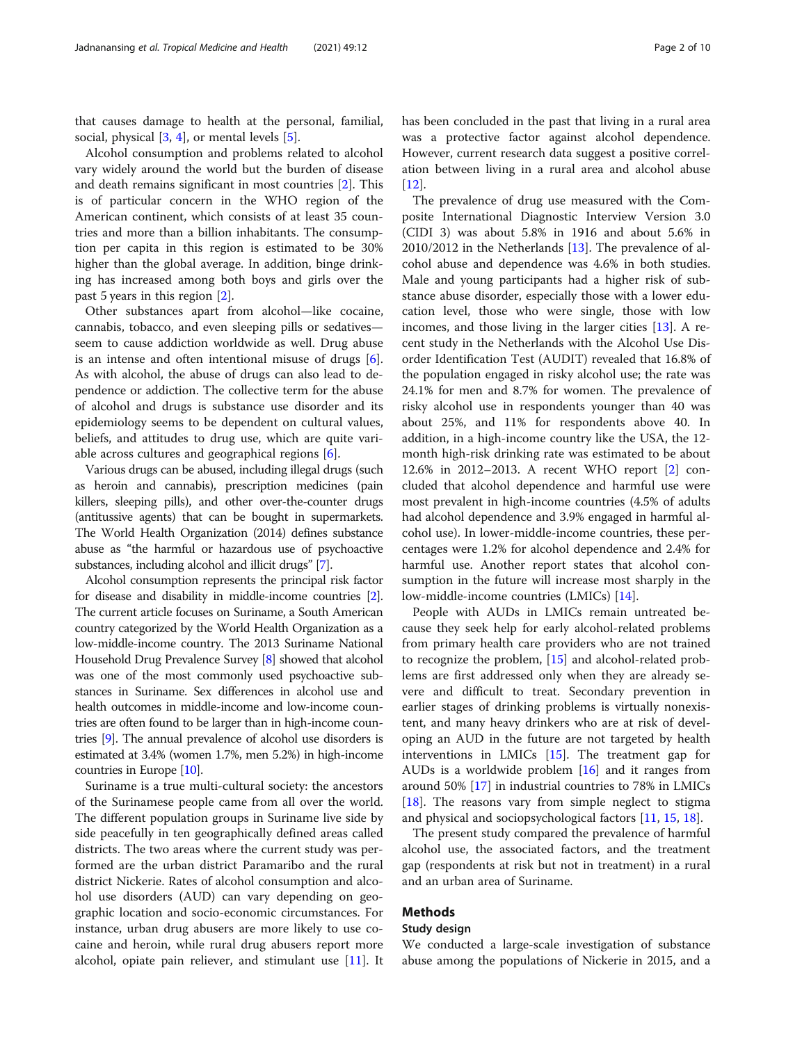that causes damage to health at the personal, familial, social, physical  $[3, 4]$  $[3, 4]$  $[3, 4]$  $[3, 4]$ , or mental levels  $[5]$  $[5]$  $[5]$ .

Alcohol consumption and problems related to alcohol vary widely around the world but the burden of disease and death remains significant in most countries [\[2\]](#page-8-0). This is of particular concern in the WHO region of the American continent, which consists of at least 35 countries and more than a billion inhabitants. The consumption per capita in this region is estimated to be 30% higher than the global average. In addition, binge drinking has increased among both boys and girls over the past 5 years in this region [\[2](#page-8-0)].

Other substances apart from alcohol—like cocaine, cannabis, tobacco, and even sleeping pills or sedatives seem to cause addiction worldwide as well. Drug abuse is an intense and often intentional misuse of drugs [\[6](#page-8-0)]. As with alcohol, the abuse of drugs can also lead to dependence or addiction. The collective term for the abuse of alcohol and drugs is substance use disorder and its epidemiology seems to be dependent on cultural values, beliefs, and attitudes to drug use, which are quite variable across cultures and geographical regions [[6\]](#page-8-0).

Various drugs can be abused, including illegal drugs (such as heroin and cannabis), prescription medicines (pain killers, sleeping pills), and other over-the-counter drugs (antitussive agents) that can be bought in supermarkets. The World Health Organization (2014) defines substance abuse as "the harmful or hazardous use of psychoactive substances, including alcohol and illicit drugs" [\[7](#page-8-0)].

Alcohol consumption represents the principal risk factor for disease and disability in middle-income countries [[2](#page-8-0)]. The current article focuses on Suriname, a South American country categorized by the World Health Organization as a low-middle-income country. The 2013 Suriname National Household Drug Prevalence Survey [\[8](#page-8-0)] showed that alcohol was one of the most commonly used psychoactive substances in Suriname. Sex differences in alcohol use and health outcomes in middle-income and low-income countries are often found to be larger than in high-income countries [[9](#page-8-0)]. The annual prevalence of alcohol use disorders is estimated at 3.4% (women 1.7%, men 5.2%) in high-income countries in Europe [\[10\]](#page-8-0).

Suriname is a true multi-cultural society: the ancestors of the Surinamese people came from all over the world. The different population groups in Suriname live side by side peacefully in ten geographically defined areas called districts. The two areas where the current study was performed are the urban district Paramaribo and the rural district Nickerie. Rates of alcohol consumption and alcohol use disorders (AUD) can vary depending on geographic location and socio-economic circumstances. For instance, urban drug abusers are more likely to use cocaine and heroin, while rural drug abusers report more alcohol, opiate pain reliever, and stimulant use [[11](#page-8-0)]. It has been concluded in the past that living in a rural area was a protective factor against alcohol dependence. However, current research data suggest a positive correlation between living in a rural area and alcohol abuse [[12\]](#page-8-0).

The prevalence of drug use measured with the Composite International Diagnostic Interview Version 3.0 (CIDI 3) was about 5.8% in 1916 and about 5.6% in 2010/2012 in the Netherlands [\[13](#page-8-0)]. The prevalence of alcohol abuse and dependence was 4.6% in both studies. Male and young participants had a higher risk of substance abuse disorder, especially those with a lower education level, those who were single, those with low incomes, and those living in the larger cities [\[13](#page-8-0)]. A recent study in the Netherlands with the Alcohol Use Disorder Identification Test (AUDIT) revealed that 16.8% of the population engaged in risky alcohol use; the rate was 24.1% for men and 8.7% for women. The prevalence of risky alcohol use in respondents younger than 40 was about 25%, and 11% for respondents above 40. In addition, in a high-income country like the USA, the 12 month high-risk drinking rate was estimated to be about 12.6% in 2012–2013. A recent WHO report [[2\]](#page-8-0) concluded that alcohol dependence and harmful use were most prevalent in high-income countries (4.5% of adults had alcohol dependence and 3.9% engaged in harmful alcohol use). In lower-middle-income countries, these percentages were 1.2% for alcohol dependence and 2.4% for harmful use. Another report states that alcohol consumption in the future will increase most sharply in the low-middle-income countries (LMICs) [\[14\]](#page-8-0).

People with AUDs in LMICs remain untreated because they seek help for early alcohol-related problems from primary health care providers who are not trained to recognize the problem, [\[15](#page-8-0)] and alcohol-related problems are first addressed only when they are already severe and difficult to treat. Secondary prevention in earlier stages of drinking problems is virtually nonexistent, and many heavy drinkers who are at risk of developing an AUD in the future are not targeted by health interventions in LMICs [\[15](#page-8-0)]. The treatment gap for AUDs is a worldwide problem [[16](#page-8-0)] and it ranges from around 50% [[17](#page-8-0)] in industrial countries to 78% in LMICs [[18\]](#page-8-0). The reasons vary from simple neglect to stigma and physical and sociopsychological factors [\[11,](#page-8-0) [15,](#page-8-0) [18\]](#page-8-0).

The present study compared the prevalence of harmful alcohol use, the associated factors, and the treatment gap (respondents at risk but not in treatment) in a rural and an urban area of Suriname.

# Methods

# Study design

We conducted a large-scale investigation of substance abuse among the populations of Nickerie in 2015, and a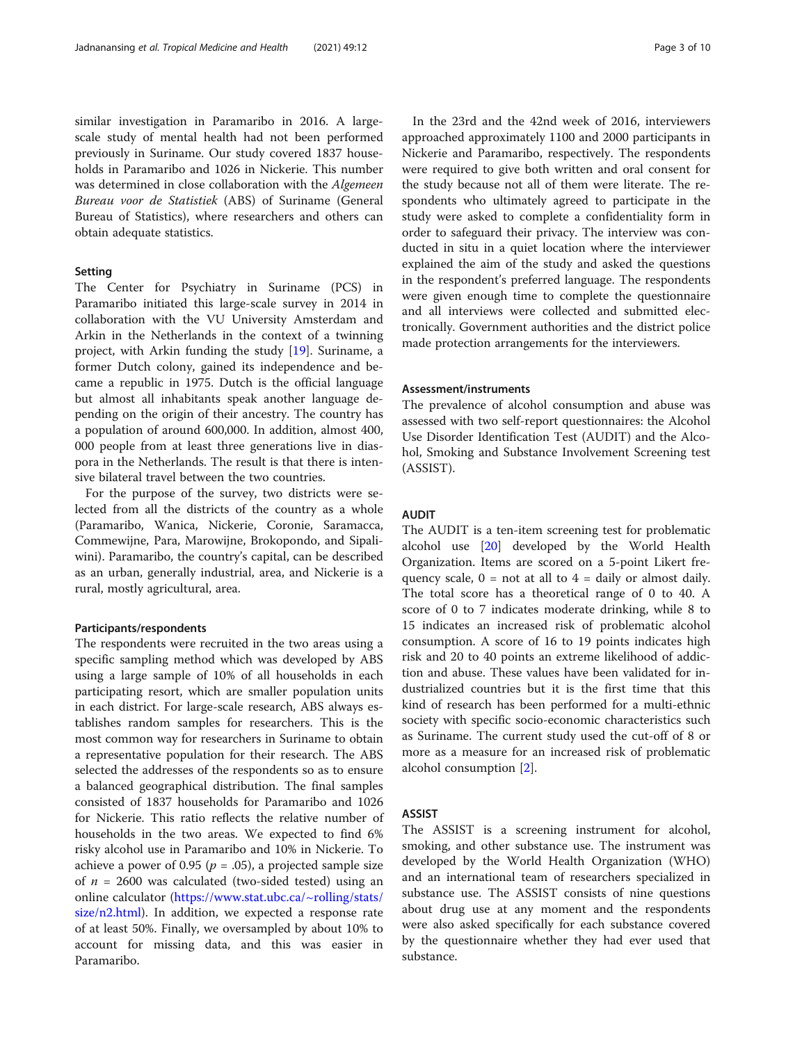similar investigation in Paramaribo in 2016. A largescale study of mental health had not been performed previously in Suriname. Our study covered 1837 households in Paramaribo and 1026 in Nickerie. This number was determined in close collaboration with the Algemeen Bureau voor de Statistiek (ABS) of Suriname (General Bureau of Statistics), where researchers and others can obtain adequate statistics.

# Setting

The Center for Psychiatry in Suriname (PCS) in Paramaribo initiated this large-scale survey in 2014 in collaboration with the VU University Amsterdam and Arkin in the Netherlands in the context of a twinning project, with Arkin funding the study [[19\]](#page-8-0). Suriname, a former Dutch colony, gained its independence and became a republic in 1975. Dutch is the official language but almost all inhabitants speak another language depending on the origin of their ancestry. The country has a population of around 600,000. In addition, almost 400, 000 people from at least three generations live in diaspora in the Netherlands. The result is that there is intensive bilateral travel between the two countries.

For the purpose of the survey, two districts were selected from all the districts of the country as a whole (Paramaribo, Wanica, Nickerie, Coronie, Saramacca, Commewijne, Para, Marowijne, Brokopondo, and Sipaliwini). Paramaribo, the country's capital, can be described as an urban, generally industrial, area, and Nickerie is a rural, mostly agricultural, area.

# Participants/respondents

The respondents were recruited in the two areas using a specific sampling method which was developed by ABS using a large sample of 10% of all households in each participating resort, which are smaller population units in each district. For large-scale research, ABS always establishes random samples for researchers. This is the most common way for researchers in Suriname to obtain a representative population for their research. The ABS selected the addresses of the respondents so as to ensure a balanced geographical distribution. The final samples consisted of 1837 households for Paramaribo and 1026 for Nickerie. This ratio reflects the relative number of households in the two areas. We expected to find 6% risky alcohol use in Paramaribo and 10% in Nickerie. To achieve a power of 0.95 ( $p = .05$ ), a projected sample size of  $n = 2600$  was calculated (two-sided tested) using an online calculator ([https://www.stat.ubc.ca/~rolling/stats/](https://www.stat.ubc.ca/~rolling/stats/size/n2.html) [size/n2.html\)](https://www.stat.ubc.ca/~rolling/stats/size/n2.html). In addition, we expected a response rate of at least 50%. Finally, we oversampled by about 10% to account for missing data, and this was easier in Paramaribo.

In the 23rd and the 42nd week of 2016, interviewers approached approximately 1100 and 2000 participants in Nickerie and Paramaribo, respectively. The respondents were required to give both written and oral consent for the study because not all of them were literate. The respondents who ultimately agreed to participate in the study were asked to complete a confidentiality form in order to safeguard their privacy. The interview was conducted in situ in a quiet location where the interviewer explained the aim of the study and asked the questions in the respondent's preferred language. The respondents were given enough time to complete the questionnaire and all interviews were collected and submitted electronically. Government authorities and the district police made protection arrangements for the interviewers.

# Assessment/instruments

The prevalence of alcohol consumption and abuse was assessed with two self-report questionnaires: the Alcohol Use Disorder Identification Test (AUDIT) and the Alcohol, Smoking and Substance Involvement Screening test (ASSIST).

# AUDIT

The AUDIT is a ten-item screening test for problematic alcohol use [\[20](#page-8-0)] developed by the World Health Organization. Items are scored on a 5-point Likert frequency scale,  $0 = \text{not at all to } 4 = \text{daily or almost daily.}$ The total score has a theoretical range of 0 to 40. A score of 0 to 7 indicates moderate drinking, while 8 to 15 indicates an increased risk of problematic alcohol consumption. A score of 16 to 19 points indicates high risk and 20 to 40 points an extreme likelihood of addiction and abuse. These values have been validated for industrialized countries but it is the first time that this kind of research has been performed for a multi-ethnic society with specific socio-economic characteristics such as Suriname. The current study used the cut-off of 8 or more as a measure for an increased risk of problematic alcohol consumption [[2\]](#page-8-0).

# ASSIST

The ASSIST is a screening instrument for alcohol, smoking, and other substance use. The instrument was developed by the World Health Organization (WHO) and an international team of researchers specialized in substance use. The ASSIST consists of nine questions about drug use at any moment and the respondents were also asked specifically for each substance covered by the questionnaire whether they had ever used that substance.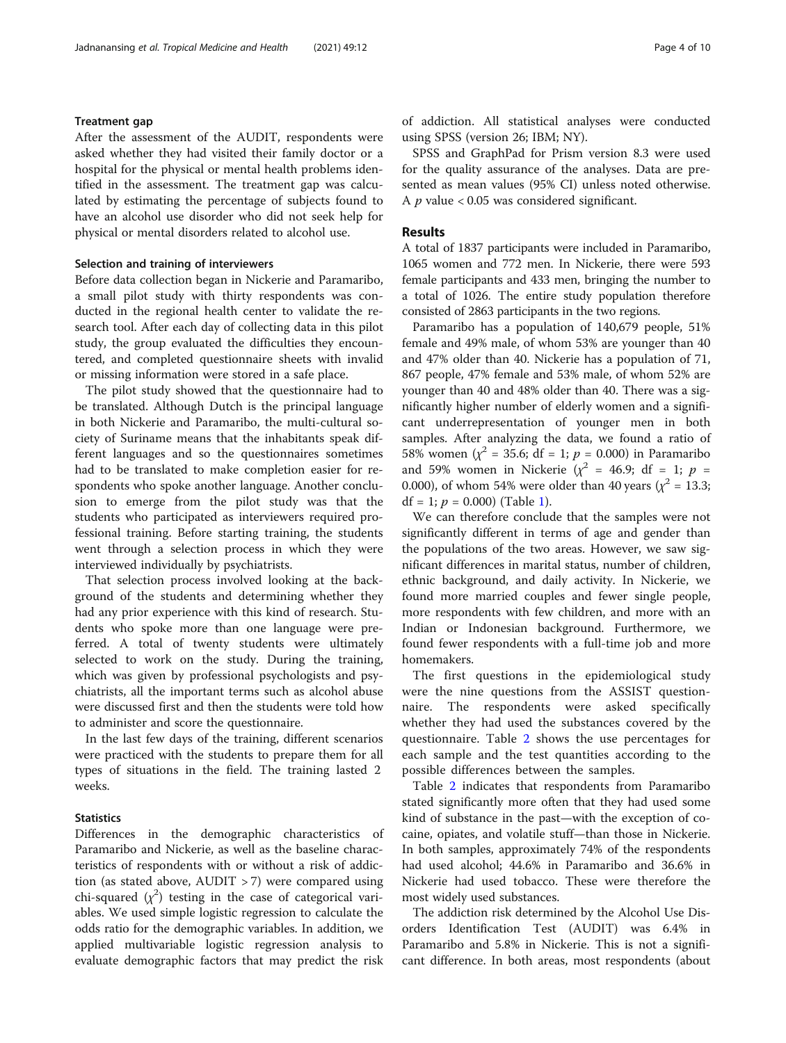# Treatment gap

After the assessment of the AUDIT, respondents were asked whether they had visited their family doctor or a hospital for the physical or mental health problems identified in the assessment. The treatment gap was calculated by estimating the percentage of subjects found to have an alcohol use disorder who did not seek help for physical or mental disorders related to alcohol use.

# Selection and training of interviewers

Before data collection began in Nickerie and Paramaribo, a small pilot study with thirty respondents was conducted in the regional health center to validate the research tool. After each day of collecting data in this pilot study, the group evaluated the difficulties they encountered, and completed questionnaire sheets with invalid or missing information were stored in a safe place.

The pilot study showed that the questionnaire had to be translated. Although Dutch is the principal language in both Nickerie and Paramaribo, the multi-cultural society of Suriname means that the inhabitants speak different languages and so the questionnaires sometimes had to be translated to make completion easier for respondents who spoke another language. Another conclusion to emerge from the pilot study was that the students who participated as interviewers required professional training. Before starting training, the students went through a selection process in which they were interviewed individually by psychiatrists.

That selection process involved looking at the background of the students and determining whether they had any prior experience with this kind of research. Students who spoke more than one language were preferred. A total of twenty students were ultimately selected to work on the study. During the training, which was given by professional psychologists and psychiatrists, all the important terms such as alcohol abuse were discussed first and then the students were told how to administer and score the questionnaire.

In the last few days of the training, different scenarios were practiced with the students to prepare them for all types of situations in the field. The training lasted 2 weeks.

# **Statistics**

Differences in the demographic characteristics of Paramaribo and Nickerie, as well as the baseline characteristics of respondents with or without a risk of addiction (as stated above, AUDIT > 7) were compared using chi-squared  $(\chi^2)$  testing in the case of categorical variables. We used simple logistic regression to calculate the odds ratio for the demographic variables. In addition, we applied multivariable logistic regression analysis to evaluate demographic factors that may predict the risk of addiction. All statistical analyses were conducted using SPSS (version 26; IBM; NY).

SPSS and GraphPad for Prism version 8.3 were used for the quality assurance of the analyses. Data are presented as mean values (95% CI) unless noted otherwise. A  $p$  value < 0.05 was considered significant.

# Results

A total of 1837 participants were included in Paramaribo, 1065 women and 772 men. In Nickerie, there were 593 female participants and 433 men, bringing the number to a total of 1026. The entire study population therefore consisted of 2863 participants in the two regions.

Paramaribo has a population of 140,679 people, 51% female and 49% male, of whom 53% are younger than 40 and 47% older than 40. Nickerie has a population of 71, 867 people, 47% female and 53% male, of whom 52% are younger than 40 and 48% older than 40. There was a significantly higher number of elderly women and a significant underrepresentation of younger men in both samples. After analyzing the data, we found a ratio of 58% women ( $\chi^2$  = 35.6; df = 1; p = 0.000) in Paramaribo and 59% women in Nickerie ( $\chi^2$  = 46.9; df = 1; p = 0.000), of whom 54% were older than 40 years ( $\chi^2 = 13.3$ ; df = [1](#page-4-0);  $p = 0.000$ ) (Table 1).

We can therefore conclude that the samples were not significantly different in terms of age and gender than the populations of the two areas. However, we saw significant differences in marital status, number of children, ethnic background, and daily activity. In Nickerie, we found more married couples and fewer single people, more respondents with few children, and more with an Indian or Indonesian background. Furthermore, we found fewer respondents with a full-time job and more homemakers.

The first questions in the epidemiological study were the nine questions from the ASSIST questionnaire. The respondents were asked specifically whether they had used the substances covered by the questionnaire. Table [2](#page-4-0) shows the use percentages for each sample and the test quantities according to the possible differences between the samples.

Table [2](#page-4-0) indicates that respondents from Paramaribo stated significantly more often that they had used some kind of substance in the past—with the exception of cocaine, opiates, and volatile stuff—than those in Nickerie. In both samples, approximately 74% of the respondents had used alcohol; 44.6% in Paramaribo and 36.6% in Nickerie had used tobacco. These were therefore the most widely used substances.

The addiction risk determined by the Alcohol Use Disorders Identification Test (AUDIT) was 6.4% in Paramaribo and 5.8% in Nickerie. This is not a significant difference. In both areas, most respondents (about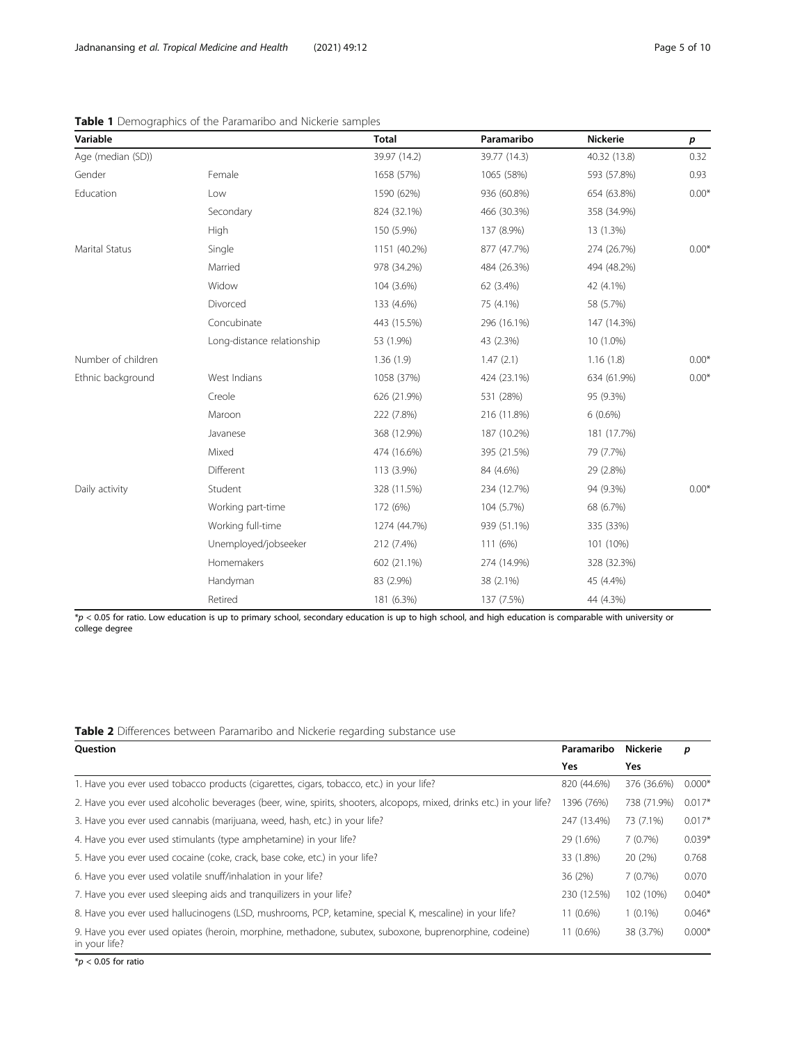| Variable           |                            | <b>Total</b> | Paramaribo   | <b>Nickerie</b> | p       |
|--------------------|----------------------------|--------------|--------------|-----------------|---------|
| Age (median (SD))  |                            | 39.97 (14.2) | 39.77 (14.3) | 40.32 (13.8)    | 0.32    |
| Gender             | Female                     | 1658 (57%)   | 1065 (58%)   | 593 (57.8%)     | 0.93    |
| Education          | Low                        | 1590 (62%)   | 936 (60.8%)  | 654 (63.8%)     | $0.00*$ |
|                    | Secondary                  | 824 (32.1%)  | 466 (30.3%)  | 358 (34.9%)     |         |
|                    | High                       | 150 (5.9%)   | 137 (8.9%)   | 13 (1.3%)       |         |
| Marital Status     | Single                     | 1151 (40.2%) | 877 (47.7%)  | 274 (26.7%)     | $0.00*$ |
|                    | Married                    | 978 (34.2%)  | 484 (26.3%)  | 494 (48.2%)     |         |
|                    | Widow                      | 104 (3.6%)   | 62 (3.4%)    | 42 (4.1%)       |         |
|                    | Divorced                   | 133 (4.6%)   | 75 (4.1%)    | 58 (5.7%)       |         |
|                    | Concubinate                | 443 (15.5%)  | 296 (16.1%)  | 147 (14.3%)     |         |
|                    | Long-distance relationship | 53 (1.9%)    | 43 (2.3%)    | 10 (1.0%)       |         |
| Number of children |                            | 1.36(1.9)    | 1.47(2.1)    | 1.16(1.8)       | $0.00*$ |
| Ethnic background  | West Indians               | 1058 (37%)   | 424 (23.1%)  | 634 (61.9%)     | $0.00*$ |
|                    | Creole                     | 626 (21.9%)  | 531 (28%)    | 95 (9.3%)       |         |
|                    | Maroon                     | 222 (7.8%)   | 216 (11.8%)  | $6(0.6\%)$      |         |
|                    | Javanese                   | 368 (12.9%)  | 187 (10.2%)  | 181 (17.7%)     |         |
|                    | Mixed                      | 474 (16.6%)  | 395 (21.5%)  | 79 (7.7%)       |         |
|                    | Different                  | 113 (3.9%)   | 84 (4.6%)    | 29 (2.8%)       |         |
| Daily activity     | Student                    | 328 (11.5%)  | 234 (12.7%)  | 94 (9.3%)       | $0.00*$ |
|                    | Working part-time          | 172 (6%)     | 104 (5.7%)   | 68 (6.7%)       |         |
|                    | Working full-time          | 1274 (44.7%) | 939 (51.1%)  | 335 (33%)       |         |
|                    | Unemployed/jobseeker       | 212 (7.4%)   | 111 (6%)     | 101 (10%)       |         |
|                    | Homemakers                 | 602 (21.1%)  | 274 (14.9%)  | 328 (32.3%)     |         |
|                    | Handyman                   | 83 (2.9%)    | 38 (2.1%)    | 45 (4.4%)       |         |
|                    | Retired                    | 181 (6.3%)   | 137 (7.5%)   | 44 (4.3%)       |         |
|                    |                            |              |              |                 |         |

<span id="page-4-0"></span>Table 1 Demographics of the Paramaribo and Nickerie samples

 $*_p$  < 0.05 for ratio. Low education is up to primary school, secondary education is up to high school, and high education is comparable with university or college degree

# Table 2 Differences between Paramaribo and Nickerie regarding substance use

| Question                                                                                                                | Paramaribo  | <b>Nickerie</b> | p        |
|-------------------------------------------------------------------------------------------------------------------------|-------------|-----------------|----------|
|                                                                                                                         | Yes         | Yes             |          |
| 1. Have you ever used tobacco products (cigarettes, cigars, tobacco, etc.) in your life?                                | 820 (44.6%) | 376 (36.6%)     | $0.000*$ |
| 2. Have you ever used alcoholic beverages (beer, wine, spirits, shooters, alcopops, mixed, drinks etc.) in your life?   | 1396 (76%)  | 738 (71.9%)     | $0.017*$ |
| 3. Have you ever used cannabis (marijuana, weed, hash, etc.) in your life?                                              | 247 (13.4%) | 73 (7.1%)       | $0.017*$ |
| 4. Have you ever used stimulants (type amphetamine) in your life?                                                       | 29 (1.6%)   | 7(0.7%)         | $0.039*$ |
| 5. Have you ever used cocaine (coke, crack, base coke, etc.) in your life?                                              | 33 (1.8%)   | 20 (2%)         | 0.768    |
| 6. Have you ever used volatile snuff/inhalation in your life?                                                           | 36 (2%)     | 7(0.7%)         | 0.070    |
| 7. Have you ever used sleeping aids and tranguilizers in your life?                                                     | 230 (12.5%) | 102 (10%)       | $0.040*$ |
| 8. Have you ever used hallucinogens (LSD, mushrooms, PCP, ketamine, special K, mescaline) in your life?                 | 11 (0.6%)   | $1(0.1\%)$      | $0.046*$ |
| 9. Have you ever used opiates (heroin, morphine, methadone, subutex, suboxone, buprenorphine, codeine)<br>in your life? | $11(0.6\%)$ | 38 (3.7%)       | $0.000*$ |

 $*p < 0.05$  for ratio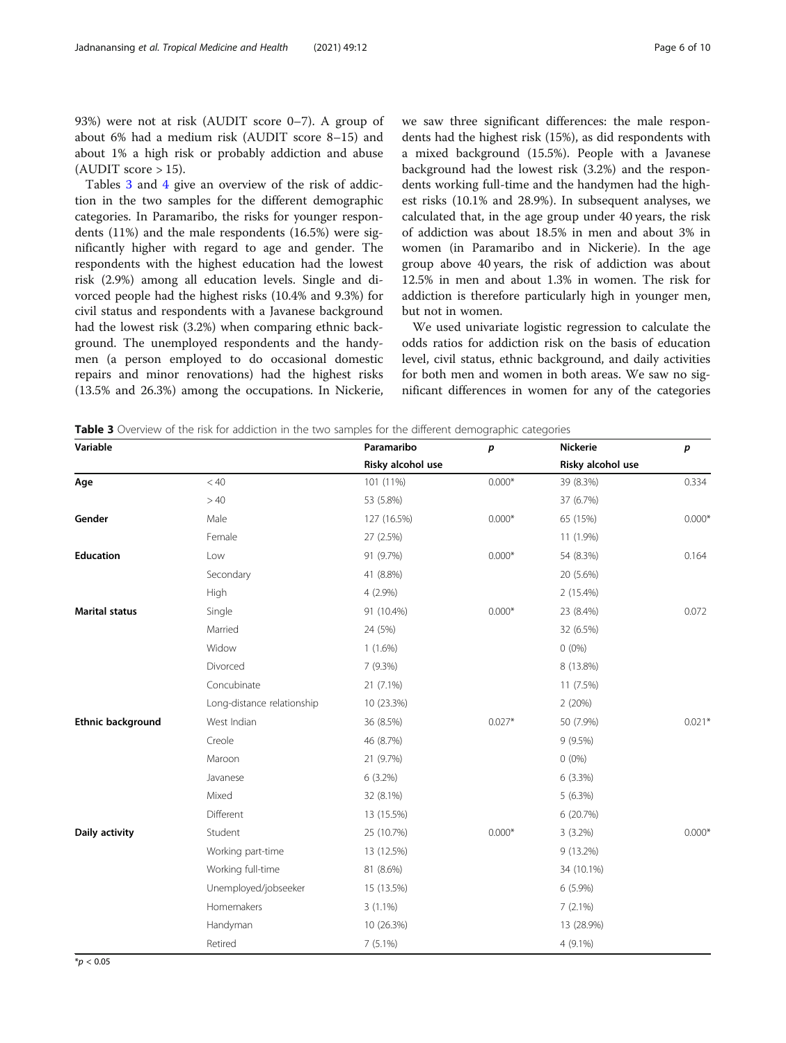93%) were not at risk (AUDIT score 0–7). A group of about 6% had a medium risk (AUDIT score 8–15) and about 1% a high risk or probably addiction and abuse (AUDIT score  $> 15$ ).

Tables 3 and [4](#page-6-0) give an overview of the risk of addiction in the two samples for the different demographic categories. In Paramaribo, the risks for younger respondents (11%) and the male respondents (16.5%) were significantly higher with regard to age and gender. The respondents with the highest education had the lowest risk (2.9%) among all education levels. Single and divorced people had the highest risks (10.4% and 9.3%) for civil status and respondents with a Javanese background had the lowest risk (3.2%) when comparing ethnic background. The unemployed respondents and the handymen (a person employed to do occasional domestic repairs and minor renovations) had the highest risks (13.5% and 26.3%) among the occupations. In Nickerie, we saw three significant differences: the male respondents had the highest risk (15%), as did respondents with a mixed background (15.5%). People with a Javanese background had the lowest risk (3.2%) and the respondents working full-time and the handymen had the highest risks (10.1% and 28.9%). In subsequent analyses, we calculated that, in the age group under 40 years, the risk of addiction was about 18.5% in men and about 3% in women (in Paramaribo and in Nickerie). In the age group above 40 years, the risk of addiction was about 12.5% in men and about 1.3% in women. The risk for addiction is therefore particularly high in younger men, but not in women.

We used univariate logistic regression to calculate the odds ratios for addiction risk on the basis of education level, civil status, ethnic background, and daily activities for both men and women in both areas. We saw no significant differences in women for any of the categories

|  |  |  | Table 3 Overview of the risk for addiction in the two samples for the different demographic categories |  |
|--|--|--|--------------------------------------------------------------------------------------------------------|--|
|  |  |  |                                                                                                        |  |

| Variable              |                            | Paramaribo        | $\boldsymbol{p}$ | Nickerie          | $\boldsymbol{p}$ |
|-----------------------|----------------------------|-------------------|------------------|-------------------|------------------|
|                       |                            | Risky alcohol use |                  | Risky alcohol use |                  |
| Age                   | < 40                       | 101 (11%)         | $0.000*$         | 39 (8.3%)         | 0.334            |
|                       | >40                        | 53 (5.8%)         |                  | 37 (6.7%)         |                  |
| Gender                | Male                       | 127 (16.5%)       | $0.000*$         | 65 (15%)          | $0.000*$         |
|                       | Female                     | 27 (2.5%)         |                  | 11 (1.9%)         |                  |
| <b>Education</b>      | Low                        | 91 (9.7%)         | $0.000*$         | 54 (8.3%)         | 0.164            |
|                       | Secondary                  | 41 (8.8%)         |                  | 20 (5.6%)         |                  |
|                       | High                       | 4 (2.9%)          |                  | 2 (15.4%)         |                  |
| <b>Marital status</b> | Single                     | 91 (10.4%)        | $0.000*$         | 23 (8.4%)         | 0.072            |
|                       | Married                    | 24 (5%)           |                  | 32 (6.5%)         |                  |
|                       | Widow                      | $1(1.6\%)$        |                  | $0(0\%)$          |                  |
|                       | Divorced                   | 7 (9.3%)          |                  | 8 (13.8%)         |                  |
|                       | Concubinate                | 21 (7.1%)         |                  | 11 (7.5%)         |                  |
|                       | Long-distance relationship | 10 (23.3%)        |                  | 2(20%)            |                  |
| Ethnic background     | West Indian                | 36 (8.5%)         | $0.027*$         | 50 (7.9%)         | $0.021*$         |
|                       | Creole                     | 46 (8.7%)         |                  | 9(9.5%)           |                  |
|                       | Maroon                     | 21 (9.7%)         |                  | $0(0\%)$          |                  |
|                       | Javanese                   | 6 (3.2%)          |                  | 6(3.3%)           |                  |
|                       | Mixed                      | 32 (8.1%)         |                  | $5(6.3\%)$        |                  |
|                       | Different                  | 13 (15.5%)        |                  | 6 (20.7%)         |                  |
| Daily activity        | Student                    | 25 (10.7%)        | $0.000*$         | $3(3.2\%)$        | $0.000*$         |
|                       | Working part-time          | 13 (12.5%)        |                  | 9 (13.2%)         |                  |
|                       | Working full-time          | 81 (8.6%)         |                  | 34 (10.1%)        |                  |
|                       | Unemployed/jobseeker       | 15 (13.5%)        |                  | $6(5.9\%)$        |                  |
|                       | Homemakers                 | $3(1.1\%)$        |                  | 7(2.1%)           |                  |
|                       | Handyman                   | 10 (26.3%)        |                  | 13 (28.9%)        |                  |
|                       | Retired                    | $7(5.1\%)$        |                  | 4 (9.1%)          |                  |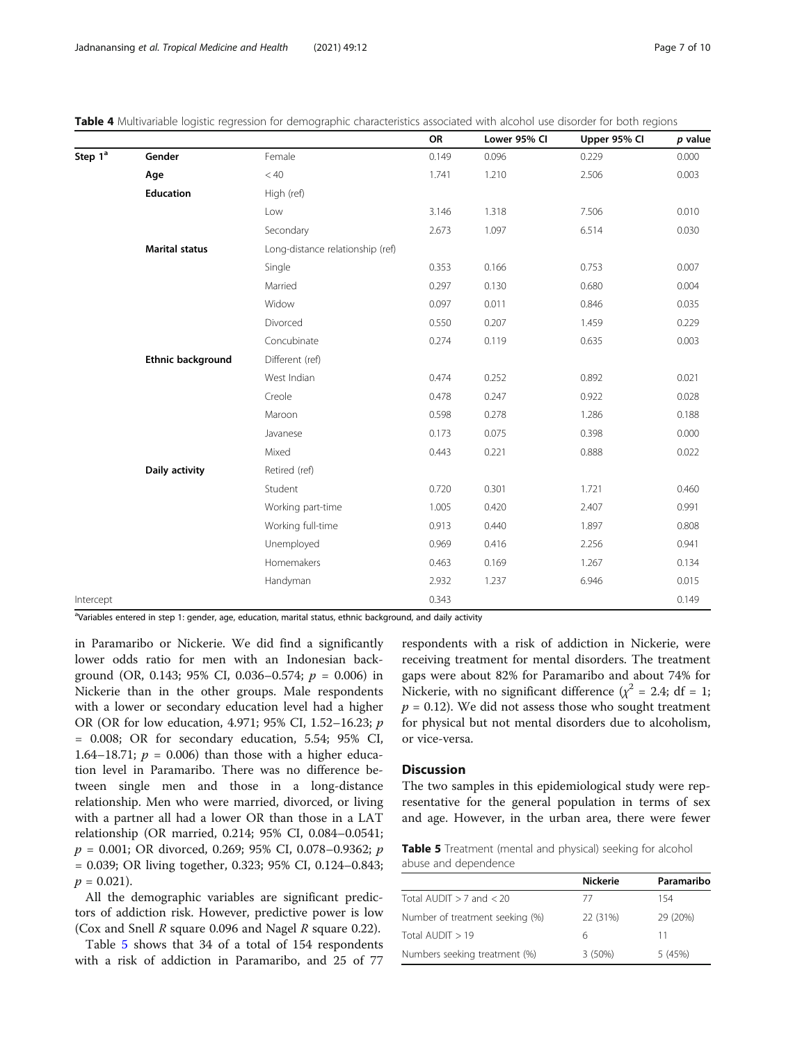|                     |                       |                                  | OR    | Lower 95% CI | Upper 95% Cl | p value |
|---------------------|-----------------------|----------------------------------|-------|--------------|--------------|---------|
| Step 1 <sup>ª</sup> | Gender                | Female                           | 0.149 | 0.096        | 0.229        | 0.000   |
|                     | Age                   | < 40                             | 1.741 | 1.210        | 2.506        | 0.003   |
|                     | Education             | High (ref)                       |       |              |              |         |
|                     |                       | Low                              | 3.146 | 1.318        | 7.506        | 0.010   |
|                     |                       | Secondary                        | 2.673 | 1.097        | 6.514        | 0.030   |
|                     | <b>Marital status</b> | Long-distance relationship (ref) |       |              |              |         |
|                     |                       | Single                           | 0.353 | 0.166        | 0.753        | 0.007   |
|                     |                       | Married                          | 0.297 | 0.130        | 0.680        | 0.004   |
|                     |                       | Widow                            | 0.097 | 0.011        | 0.846        | 0.035   |
|                     |                       | Divorced                         | 0.550 | 0.207        | 1.459        | 0.229   |
|                     |                       | Concubinate                      | 0.274 | 0.119        | 0.635        | 0.003   |
|                     | Ethnic background     | Different (ref)                  |       |              |              |         |
|                     |                       | West Indian                      | 0.474 | 0.252        | 0.892        | 0.021   |
|                     |                       | Creole                           | 0.478 | 0.247        | 0.922        | 0.028   |
|                     |                       | Maroon                           | 0.598 | 0.278        | 1.286        | 0.188   |
|                     |                       | Javanese                         | 0.173 | 0.075        | 0.398        | 0.000   |
|                     |                       | Mixed                            | 0.443 | 0.221        | 0.888        | 0.022   |
|                     | Daily activity        | Retired (ref)                    |       |              |              |         |
|                     |                       | Student                          | 0.720 | 0.301        | 1.721        | 0.460   |
|                     |                       | Working part-time                | 1.005 | 0.420        | 2.407        | 0.991   |
|                     |                       | Working full-time                | 0.913 | 0.440        | 1.897        | 0.808   |
|                     |                       | Unemployed                       | 0.969 | 0.416        | 2.256        | 0.941   |
|                     |                       | Homemakers                       | 0.463 | 0.169        | 1.267        | 0.134   |
|                     |                       | Handyman                         | 2.932 | 1.237        | 6.946        | 0.015   |
| Intercept           |                       |                                  | 0.343 |              |              | 0.149   |

<span id="page-6-0"></span>Table 4 Multivariable logistic regression for demographic characteristics associated with alcohol use disorder for both regions

aVariables entered in step 1: gender, age, education, marital status, ethnic background, and daily activity

in Paramaribo or Nickerie. We did find a significantly lower odds ratio for men with an Indonesian background (OR, 0.143; 95% CI, 0.036-0.574;  $p = 0.006$ ) in Nickerie than in the other groups. Male respondents with a lower or secondary education level had a higher OR (OR for low education, 4.971; 95% CI, 1.52–16.23; p = 0.008; OR for secondary education, 5.54; 95% CI, 1.64–18.71;  $p = 0.006$ ) than those with a higher education level in Paramaribo. There was no difference between single men and those in a long-distance relationship. Men who were married, divorced, or living with a partner all had a lower OR than those in a LAT relationship (OR married, 0.214; 95% CI, 0.084–0.0541;  $p = 0.001$ ; OR divorced, 0.269; 95% CI, 0.078–0.9362; p = 0.039; OR living together, 0.323; 95% CI, 0.124–0.843;  $p = 0.021$ .

All the demographic variables are significant predictors of addiction risk. However, predictive power is low (Cox and Snell R square 0.096 and Nagel R square 0.22).

Table 5 shows that 34 of a total of 154 respondents with a risk of addiction in Paramaribo, and 25 of 77

respondents with a risk of addiction in Nickerie, were receiving treatment for mental disorders. The treatment gaps were about 82% for Paramaribo and about 74% for Nickerie, with no significant difference ( $\chi^2$  = 2.4; df = 1;  $p = 0.12$ ). We did not assess those who sought treatment for physical but not mental disorders due to alcoholism, or vice-versa.

# **Discussion**

The two samples in this epidemiological study were representative for the general population in terms of sex and age. However, in the urban area, there were fewer

Table 5 Treatment (mental and physical) seeking for alcohol abuse and dependence

|                                 | <b>Nickerie</b> | Paramaribo |
|---------------------------------|-----------------|------------|
| Total AUDIT $>$ 7 and $<$ 20    | 77              | 154        |
| Number of treatment seeking (%) | 22 (31%)        | 29 (20%)   |
| Total AUDIT $>19$               | 6               | 11         |
| Numbers seeking treatment (%)   | 3(50%)          | 5(45%)     |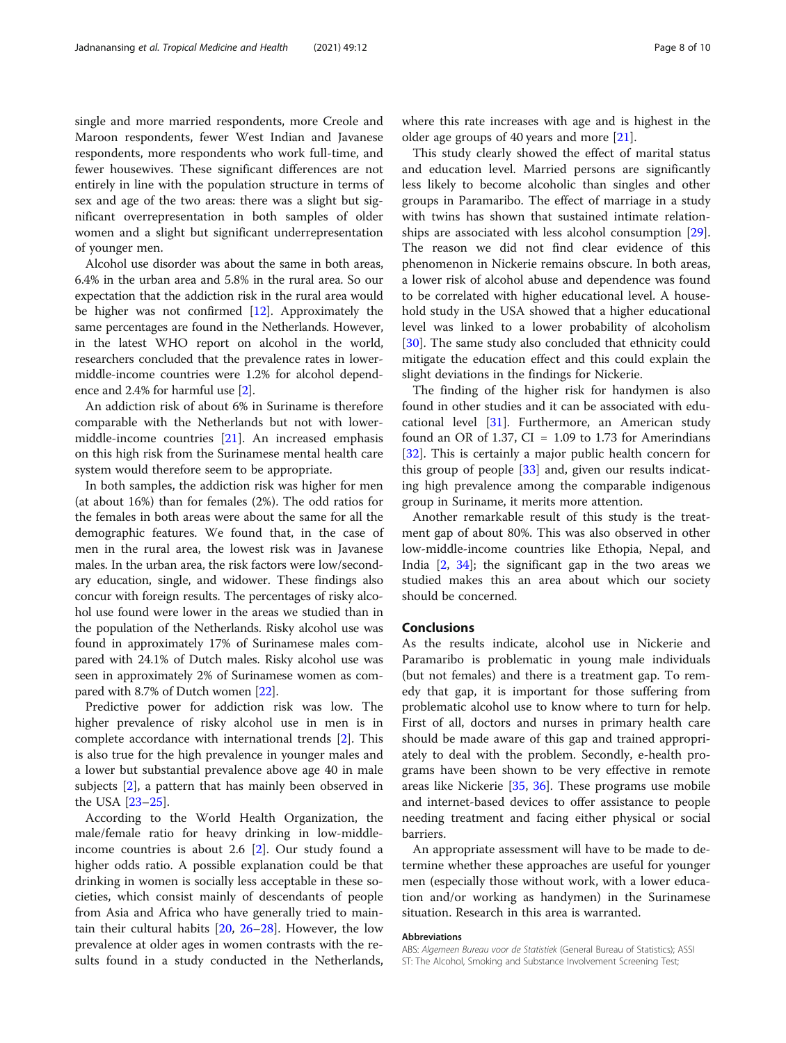single and more married respondents, more Creole and Maroon respondents, fewer West Indian and Javanese respondents, more respondents who work full-time, and fewer housewives. These significant differences are not entirely in line with the population structure in terms of sex and age of the two areas: there was a slight but significant overrepresentation in both samples of older women and a slight but significant underrepresentation of younger men.

Alcohol use disorder was about the same in both areas, 6.4% in the urban area and 5.8% in the rural area. So our expectation that the addiction risk in the rural area would be higher was not confirmed [\[12\]](#page-8-0). Approximately the same percentages are found in the Netherlands. However, in the latest WHO report on alcohol in the world, researchers concluded that the prevalence rates in lowermiddle-income countries were 1.2% for alcohol dependence and 2.4% for harmful use [\[2](#page-8-0)].

An addiction risk of about 6% in Suriname is therefore comparable with the Netherlands but not with lowermiddle-income countries [[21](#page-8-0)]. An increased emphasis on this high risk from the Surinamese mental health care system would therefore seem to be appropriate.

In both samples, the addiction risk was higher for men (at about 16%) than for females (2%). The odd ratios for the females in both areas were about the same for all the demographic features. We found that, in the case of men in the rural area, the lowest risk was in Javanese males. In the urban area, the risk factors were low/secondary education, single, and widower. These findings also concur with foreign results. The percentages of risky alcohol use found were lower in the areas we studied than in the population of the Netherlands. Risky alcohol use was found in approximately 17% of Surinamese males compared with 24.1% of Dutch males. Risky alcohol use was seen in approximately 2% of Surinamese women as compared with 8.7% of Dutch women [\[22\]](#page-8-0).

Predictive power for addiction risk was low. The higher prevalence of risky alcohol use in men is in complete accordance with international trends [\[2](#page-8-0)]. This is also true for the high prevalence in younger males and a lower but substantial prevalence above age 40 in male subjects [\[2\]](#page-8-0), a pattern that has mainly been observed in the USA [[23](#page-8-0)–[25](#page-8-0)].

According to the World Health Organization, the male/female ratio for heavy drinking in low-middleincome countries is about 2.6 [[2\]](#page-8-0). Our study found a higher odds ratio. A possible explanation could be that drinking in women is socially less acceptable in these societies, which consist mainly of descendants of people from Asia and Africa who have generally tried to maintain their cultural habits [[20,](#page-8-0) [26](#page-8-0)–[28](#page-8-0)]. However, the low prevalence at older ages in women contrasts with the results found in a study conducted in the Netherlands, where this rate increases with age and is highest in the older age groups of 40 years and more [[21](#page-8-0)].

This study clearly showed the effect of marital status and education level. Married persons are significantly less likely to become alcoholic than singles and other groups in Paramaribo. The effect of marriage in a study with twins has shown that sustained intimate relationships are associated with less alcohol consumption [\[29](#page-9-0)]. The reason we did not find clear evidence of this phenomenon in Nickerie remains obscure. In both areas, a lower risk of alcohol abuse and dependence was found to be correlated with higher educational level. A household study in the USA showed that a higher educational level was linked to a lower probability of alcoholism [[30\]](#page-9-0). The same study also concluded that ethnicity could mitigate the education effect and this could explain the slight deviations in the findings for Nickerie.

The finding of the higher risk for handymen is also found in other studies and it can be associated with educational level [\[31](#page-9-0)]. Furthermore, an American study found an OR of 1.37,  $CI = 1.09$  to 1.73 for Amerindians [[32\]](#page-9-0). This is certainly a major public health concern for this group of people [\[33](#page-9-0)] and, given our results indicating high prevalence among the comparable indigenous group in Suriname, it merits more attention.

Another remarkable result of this study is the treatment gap of about 80%. This was also observed in other low-middle-income countries like Ethopia, Nepal, and India  $[2, 34]$  $[2, 34]$  $[2, 34]$  $[2, 34]$ ; the significant gap in the two areas we studied makes this an area about which our society should be concerned.

# Conclusions

As the results indicate, alcohol use in Nickerie and Paramaribo is problematic in young male individuals (but not females) and there is a treatment gap. To remedy that gap, it is important for those suffering from problematic alcohol use to know where to turn for help. First of all, doctors and nurses in primary health care should be made aware of this gap and trained appropriately to deal with the problem. Secondly, e-health programs have been shown to be very effective in remote areas like Nickerie [\[35](#page-9-0), [36\]](#page-9-0). These programs use mobile and internet-based devices to offer assistance to people needing treatment and facing either physical or social barriers.

An appropriate assessment will have to be made to determine whether these approaches are useful for younger men (especially those without work, with a lower education and/or working as handymen) in the Surinamese situation. Research in this area is warranted.

# Abbreviations

ABS: Algemeen Bureau voor de Statistiek (General Bureau of Statistics); ASSI ST: The Alcohol, Smoking and Substance Involvement Screening Test;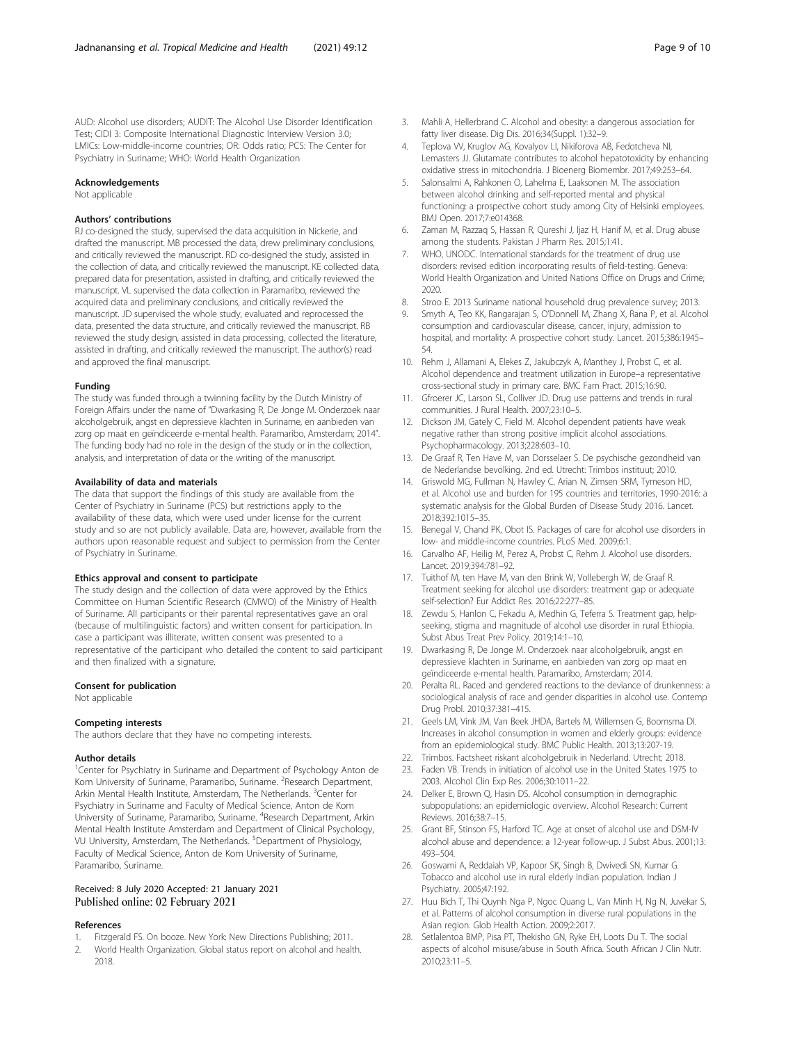<span id="page-8-0"></span>AUD: Alcohol use disorders; AUDIT: The Alcohol Use Disorder Identification Test; CIDI 3: Composite International Diagnostic Interview Version 3.0; LMICs: Low-middle-income countries; OR: Odds ratio; PCS: The Center for Psychiatry in Suriname; WHO: World Health Organization

#### Acknowledgements

Not applicable

# Authors' contributions

RJ co-designed the study, supervised the data acquisition in Nickerie, and drafted the manuscript. MB processed the data, drew preliminary conclusions, and critically reviewed the manuscript. RD co-designed the study, assisted in the collection of data, and critically reviewed the manuscript. KE collected data, prepared data for presentation, assisted in drafting, and critically reviewed the manuscript. VL supervised the data collection in Paramaribo, reviewed the acquired data and preliminary conclusions, and critically reviewed the manuscript. JD supervised the whole study, evaluated and reprocessed the data, presented the data structure, and critically reviewed the manuscript. RB reviewed the study design, assisted in data processing, collected the literature, assisted in drafting, and critically reviewed the manuscript. The author(s) read and approved the final manuscript.

#### Funding

The study was funded through a twinning facility by the Dutch Ministry of Foreign Affairs under the name of "Dwarkasing R, De Jonge M. Onderzoek naar alcoholgebruik, angst en depressieve klachten in Suriname, en aanbieden van zorg op maat en geïndiceerde e-mental health. Paramaribo, Amsterdam; 2014". The funding body had no role in the design of the study or in the collection, analysis, and interpretation of data or the writing of the manuscript.

# Availability of data and materials

The data that support the findings of this study are available from the Center of Psychiatry in Suriname (PCS) but restrictions apply to the availability of these data, which were used under license for the current study and so are not publicly available. Data are, however, available from the authors upon reasonable request and subject to permission from the Center of Psychiatry in Suriname.

# Ethics approval and consent to participate

The study design and the collection of data were approved by the Ethics Committee on Human Scientific Research (CMWO) of the Ministry of Health of Suriname. All participants or their parental representatives gave an oral (because of multilinguistic factors) and written consent for participation. In case a participant was illiterate, written consent was presented to a representative of the participant who detailed the content to said participant and then finalized with a signature.

### Consent for publication

Not applicable

## Competing interests

The authors declare that they have no competing interests.

## Author details

<sup>1</sup> Center for Psychiatry in Suriname and Department of Psychology Anton de Kom University of Suriname, Paramaribo, Suriname. <sup>2</sup>Research Department, Arkin Mental Health Institute, Amsterdam, The Netherlands. <sup>3</sup>Center for Psychiatry in Suriname and Faculty of Medical Science, Anton de Kom University of Suriname, Paramaribo, Suriname. <sup>4</sup>Research Department, Arkin Mental Health Institute Amsterdam and Department of Clinical Psychology, VU University, Amsterdam, The Netherlands. <sup>5</sup>Department of Physiology, Faculty of Medical Science, Anton de Kom University of Suriname, Paramaribo, Suriname.

# Received: 8 July 2020 Accepted: 21 January 2021 Published online: 02 February 2021

# References

- 1. Fitzgerald FS. On booze. New York: New Directions Publishing; 2011.
- 2. World Health Organization. Global status report on alcohol and health. 2018.
- 3. Mahli A, Hellerbrand C. Alcohol and obesity: a dangerous association for fatty liver disease. Dig Dis. 2016;34(Suppl. 1):32–9.
- 4. Teplova VV, Kruglov AG, Kovalyov LI, Nikiforova AB, Fedotcheva NI, Lemasters JJ. Glutamate contributes to alcohol hepatotoxicity by enhancing oxidative stress in mitochondria. J Bioenerg Biomembr. 2017;49:253–64.
- 5. Salonsalmi A, Rahkonen O, Lahelma E, Laaksonen M. The association between alcohol drinking and self-reported mental and physical functioning: a prospective cohort study among City of Helsinki employees. BMJ Open. 2017;7:e014368.
- 6. Zaman M, Razzaq S, Hassan R, Qureshi J, Ijaz H, Hanif M, et al. Drug abuse among the students. Pakistan J Pharm Res. 2015;1:41.
- 7. WHO, UNODC. International standards for the treatment of drug use disorders: revised edition incorporating results of field-testing. Geneva: World Health Organization and United Nations Office on Drugs and Crime; 2020.
- 8. Stroo E. 2013 Suriname national household drug prevalence survey; 2013.
- 9. Smyth A, Teo KK, Rangarajan S, O'Donnell M, Zhang X, Rana P, et al. Alcohol consumption and cardiovascular disease, cancer, injury, admission to hospital, and mortality: A prospective cohort study. Lancet. 2015;386:1945– 54.
- 10. Rehm J, Allamani A, Elekes Z, Jakubczyk A, Manthey J, Probst C, et al. Alcohol dependence and treatment utilization in Europe–a representative cross-sectional study in primary care. BMC Fam Pract. 2015;16:90.
- 11. Gfroerer JC, Larson SL, Colliver JD. Drug use patterns and trends in rural communities. J Rural Health. 2007;23:10–5.
- 12. Dickson JM, Gately C, Field M. Alcohol dependent patients have weak negative rather than strong positive implicit alcohol associations. Psychopharmacology. 2013;228:603–10.
- 13. De Graaf R, Ten Have M, van Dorsselaer S. De psychische gezondheid van de Nederlandse bevolking. 2nd ed. Utrecht: Trimbos instituut; 2010.
- 14. Griswold MG, Fullman N, Hawley C, Arian N, Zimsen SRM, Tymeson HD, et al. Alcohol use and burden for 195 countries and territories, 1990-2016: a systematic analysis for the Global Burden of Disease Study 2016. Lancet. 2018;392:1015–35.
- 15. Benegal V, Chand PK, Obot IS. Packages of care for alcohol use disorders in low- and middle-income countries. PLoS Med. 2009;6:1.
- 16. Carvalho AF, Heilig M, Perez A, Probst C, Rehm J. Alcohol use disorders. Lancet. 2019;394:781–92.
- 17. Tuithof M, ten Have M, van den Brink W, Vollebergh W, de Graaf R. Treatment seeking for alcohol use disorders: treatment gap or adequate self-selection? Eur Addict Res. 2016;22:277–85.
- 18. Zewdu S, Hanlon C, Fekadu A, Medhin G, Teferra S. Treatment gap, helpseeking, stigma and magnitude of alcohol use disorder in rural Ethiopia. Subst Abus Treat Prev Policy. 2019;14:1–10.
- 19. Dwarkasing R, De Jonge M. Onderzoek naar alcoholgebruik, angst en depressieve klachten in Suriname, en aanbieden van zorg op maat en geïndiceerde e-mental health. Paramaribo, Amsterdam; 2014.
- 20. Peralta RL. Raced and gendered reactions to the deviance of drunkenness: a sociological analysis of race and gender disparities in alcohol use. Contemp Drug Probl. 2010;37:381–415.
- 21. Geels LM, Vink JM, Van Beek JHDA, Bartels M, Willemsen G, Boomsma DI. Increases in alcohol consumption in women and elderly groups: evidence from an epidemiological study. BMC Public Health. 2013;13:207-19.
- 22. Trimbos. Factsheet riskant alcoholgebruik in Nederland. Utrecht; 2018.
- 23. Faden VB. Trends in initiation of alcohol use in the United States 1975 to 2003. Alcohol Clin Exp Res. 2006;30:1011–22.
- 24. Delker E, Brown Q, Hasin DS. Alcohol consumption in demographic subpopulations: an epidemiologic overview. Alcohol Research: Current Reviews. 2016;38:7–15.
- 25. Grant BF, Stinson FS, Harford TC. Age at onset of alcohol use and DSM-IV alcohol abuse and dependence: a 12-year follow-up. J Subst Abus. 2001;13: 493–504.
- 26. Goswami A, Reddaiah VP, Kapoor SK, Singh B, Dwivedi SN, Kumar G. Tobacco and alcohol use in rural elderly Indian population. Indian J Psychiatry. 2005;47:192.
- 27. Huu Bich T, Thi Quynh Nga P, Ngoc Quang L, Van Minh H, Ng N, Juvekar S, et al. Patterns of alcohol consumption in diverse rural populations in the Asian region. Glob Health Action. 2009;2:2017.
- 28. Setlalentoa BMP, Pisa PT, Thekisho GN, Ryke EH, Loots Du T. The social aspects of alcohol misuse/abuse in South Africa. South African J Clin Nutr. 2010;23:11–5.